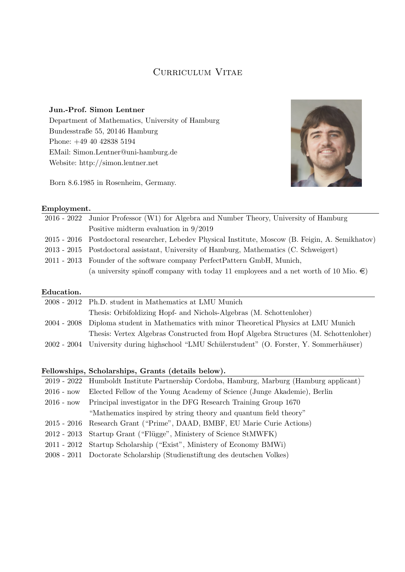## CURRICULUM VITAE

Jun.-Prof. Simon Lentner Department of Mathematics, University of Hamburg Bundesstraße 55, 20146 Hamburg Phone: +49 40 42838 5194 EMail: Simon.Lentner@uni-hamburg.de Website: http://simon.lentner.net

Born 8.6.1985 in Rosenheim, Germany.



#### Employment.

| 2016 - 2022 Junior Professor (W1) for Algebra and Number Theory, University of Hamburg             |
|----------------------------------------------------------------------------------------------------|
| Positive midterm evaluation in $9/2019$                                                            |
| 2015 - 2016 Postdoctoral researcher, Lebedev Physical Institute, Moscow (B. Feigin, A. Semikhatov) |
| 2013 - 2015 Postdoctoral assistant, University of Hamburg, Mathematics (C. Schweigert)             |
| 2011 - 2013 Founder of the software company PerfectPattern GmbH, Munich,                           |
| (a university spinoff company with today 11 employees and a net worth of 10 Mio. $\epsilon$ )      |
|                                                                                                    |

#### Education.

| 2008 - 2012 Ph.D. student in Mathematics at LMU Munich                                      |
|---------------------------------------------------------------------------------------------|
| Thesis: Orbifoldizing Hopf- and Nichols-Algebras (M. Schottenloher)                         |
| 2004 - 2008 Diploma student in Mathematics with minor Theoretical Physics at LMU Munich     |
| Thesis: Vertex Algebras Constructed from Hopf Algebra Structures (M. Schottenloher)         |
| 2002 - 2004 University during highschool "LMU Schülerstudent" (O. Forster, Y. Sommerhäuser) |

#### Fellowships, Scholarships, Grants (details below).

|              | 2019 - 2022 Humboldt Institute Partnership Cordoba, Hamburg, Marburg (Hamburg applicant) |  |
|--------------|------------------------------------------------------------------------------------------|--|
| $2016$ - now | Elected Fellow of the Young Academy of Science (Junge Akademie), Berlin                  |  |
| $2016$ - now | Principal investigator in the DFG Research Training Group 1670                           |  |
|              | "Mathematics inspired by string theory and quantum field theory"                         |  |
|              | 2015 - 2016 Research Grant ("Prime", DAAD, BMBF, EU Marie Curie Actions)                 |  |
|              | 2012 - 2013 Startup Grant ("Flügge", Ministery of Science StMWFK)                        |  |
|              | 2011 - 2012 Startup Scholarship ("Exist", Ministery of Economy BMWi)                     |  |
|              | 2008 - 2011 Doctorate Scholarship (Studienstiftung des deutschen Volkes)                 |  |
|              |                                                                                          |  |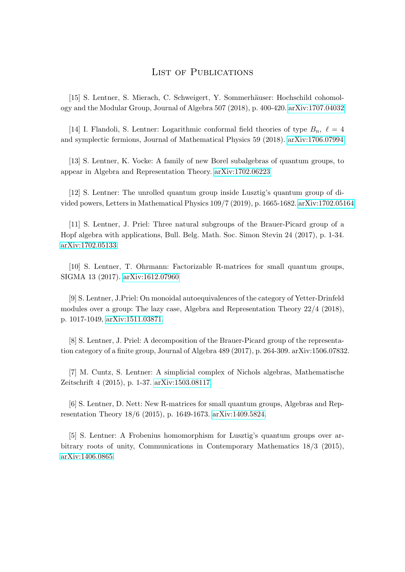### List of Publications

[15] S. Lentner, S. Mierach, C. Schweigert, Y. Sommerhäuser: Hochschild cohomology and the Modular Group, Journal of Algebra 507 (2018), p. 400-420. [arXiv:1707.04032](http://arxiv.org/abs/1707.04032)

[14] I. Flandoli, S. Lentner: Logarithmic conformal field theories of type  $B_n$ ,  $\ell = 4$ and symplectic fermions, Journal of Mathematical Physics 59 (2018). [arXiv:1706.07994](http://arxiv.org/abs/1706.07994)

[13] S. Lentner, K. Vocke: A family of new Borel subalgebras of quantum groups, to appear in Algebra and Representation Theory. [arXiv:1702.06223](http://arxiv.org/abs/1702.06223)

[12] S. Lentner: The unrolled quantum group inside Lusztig's quantum group of divided powers, Letters in Mathematical Physics 109/7 (2019), p. 1665-1682. [arXiv:1702.05164](http://arxiv.org/abs/1702.05164)

[11] S. Lentner, J. Priel: Three natural subgroups of the Brauer-Picard group of a Hopf algebra with applications, Bull. Belg. Math. Soc. Simon Stevin 24 (2017), p. 1-34. [arXiv:1702.05133.](http://arxiv.org/abs/1702.05133)

[10] S. Lentner, T. Ohrmann: Factorizable R-matrices for small quantum groups, SIGMA 13 (2017). [arXiv:1612.07960](http://arxiv.org/abs/1612.07960)

[9] S. Lentner, J.Priel: On monoidal autoequivalences of the category of Yetter-Drinfeld modules over a group: The lazy case, Algebra and Representation Theory 22/4 (2018), p. 1017-1049, [arXiv:1511.03871.](http://arxiv.org/abs/1511.03871)

[8] S. Lentner, J. Priel: A decomposition of the Brauer-Picard group of the representation category of a finite group, Journal of Algebra 489 (2017), p. 264-309. arXiv:1506.07832.

[7] M. Cuntz, S. Lentner: A simplicial complex of Nichols algebras, Mathematische Zeitschrift 4 (2015), p. 1-37. [arXiv:1503.08117.](http://arxiv.org/abs/1503.08117)

[6] S. Lentner, D. Nett: New R-matrices for small quantum groups, Algebras and Representation Theory 18/6 (2015), p. 1649-1673. [arXiv:1409.5824.](http://arxiv.org/abs/1409.5824)

[5] S. Lentner: A Frobenius homomorphism for Lusztig's quantum groups over arbitrary roots of unity, Communications in Contemporary Mathematics 18/3 (2015), [arXiv:1406.0865.](http://arxiv.org/abs/1406.0865)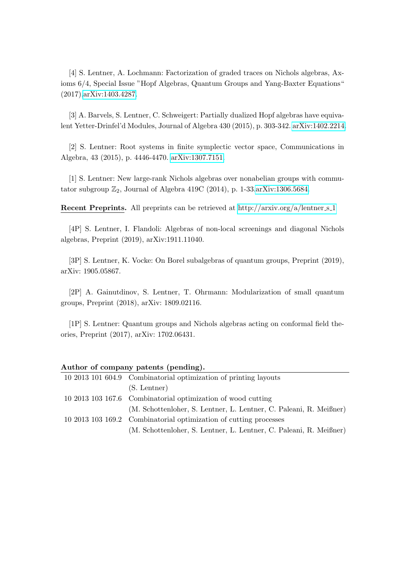[4] S. Lentner, A. Lochmann: Factorization of graded traces on Nichols algebras, Axioms 6/4, Special Issue "Hopf Algebras, Quantum Groups and Yang-Baxter Equations" (2017)[,arXiv:1403.4287.](http://arxiv.org/abs/1403.4287)

[3] A. Barvels, S. Lentner, C. Schweigert: Partially dualized Hopf algebras have equivalent Yetter-Drinfel'd Modules, Journal of Algebra 430 (2015), p. 303-342. [arXiv:1402.2214.](http://arxiv.org/abs/1402.2214)

[2] S. Lentner: Root systems in finite symplectic vector space, Communications in Algebra, 43 (2015), p. 4446-4470. [arXiv:1307.7151.](http://arxiv.org/abs/1307.7151)

[1] S. Lentner: New large-rank Nichols algebras over nonabelian groups with commutator subgroup  $\mathbb{Z}_2$ , Journal of Algebra 419C (2014), p. 1-33[.arXiv:1306.5684.](http://arxiv.org/abs/1306.5684)

**Recent Preprints.** All preprints can be retrieved at [http://arxiv.org/a/lentner](http://arxiv.org/a/lentner_s_1) s 1

[4P] S. Lentner, I. Flandoli: Algebras of non-local screenings and diagonal Nichols algebras, Preprint (2019), arXiv:1911.11040.

[3P] S. Lentner, K. Vocke: On Borel subalgebras of quantum groups, Preprint (2019), arXiv: 1905.05867.

[2P] A. Gainutdinov, S. Lentner, T. Ohrmann: Modularization of small quantum groups, Preprint (2018), arXiv: 1809.02116.

[1P] S. Lentner: Quantum groups and Nichols algebras acting on conformal field theories, Preprint (2017), arXiv: 1702.06431.

| 10 2013 101 604.9 Combinatorial optimization of printing layouts   |
|--------------------------------------------------------------------|
| $(S.$ Lentner $)$                                                  |
| 10 2013 103 167.6 Combinatorial optimization of wood cutting       |
| (M. Schottenloher, S. Lentner, L. Lentner, C. Paleani, R. Meißner) |
| 10 2013 103 169.2 Combinatorial optimization of cutting processes  |
| (M. Schottenloher, S. Lentner, L. Lentner, C. Paleani, R. Meißner) |

#### Author of company patents (pending).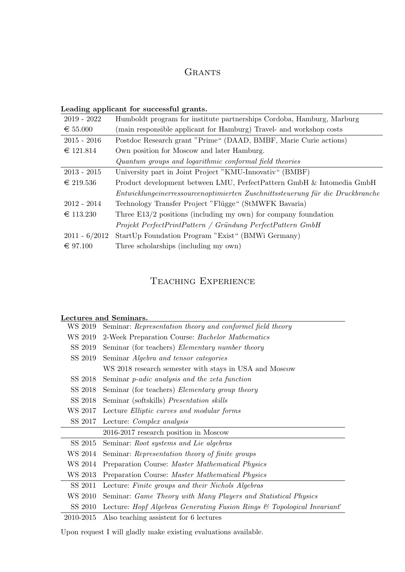## **GRANTS**

### Leading applicant for successful grants.

| $2019 - 2022$   | Humboldt program for institute partnerships Cordoba, Hamburg, Marburg          |
|-----------------|--------------------------------------------------------------------------------|
| € 55.000        | (main responsible applicant for Hamburg) Travel- and workshop costs            |
| $2015 - 2016$   | Postdoc Research grant "Prime" (DAAD, BMBF, Marie Curie actions)               |
| € 121.814       | Own position for Moscow and later Hamburg.                                     |
|                 | Quantum groups and logarithmic conformal field theories                        |
| $2013 - 2015$   | University part in Joint Project "KMU-Innovativ" (BMBF)                        |
| $\in$ 219.536   | Product development between LMU, PerfectPattern GmbH & Intomedia GmbH          |
|                 | Entwicklungeinerressourcenoptimierten Zuschnittssteuerung für die Druckbranche |
| $2012 - 2014$   | Technology Transfer Project "Flügge" (StMWFK Bavaria)                          |
| € 113.230       | Three $E13/2$ positions (including my own) for company foundation              |
|                 | Projekt PerfectPrintPattern / Gründung PerfectPattern GmbH                     |
| $2011 - 6/2012$ | StartUp Foundation Program "Exist" (BMWi Germany)                              |
| $\in$ 97.100    | Three scholarships (including my own)                                          |

## Teaching Experience

|           | Lectures and Seminars.                                                             |
|-----------|------------------------------------------------------------------------------------|
| WS 2019   | Seminar: Representation theory and conformel field theory                          |
| WS 2019   | 2-Week Preparation Course: Bachelor Mathematics                                    |
| SS 2019   | Seminar (for teachers) <i>Elementary number theory</i>                             |
| SS 2019   | Seminar <i>Algebra and tensor categories</i>                                       |
|           | WS 2018 research semester with stays in USA and Moscow                             |
| SS 2018   | Seminar <i>p</i> -adic analysis and the zeta function                              |
| SS 2018   | Seminar (for teachers) <i>Elementary group theory</i>                              |
| SS 2018   | Seminar (softskills) <i>Presentation skills</i>                                    |
| WS 2017   | Lecture Elliptic curves and modular forms                                          |
| SS 2017   | Lecture: Complex analysis                                                          |
|           | 2016-2017 research position in Moscow                                              |
| SS 2015   | Seminar: Root systems and Lie algebras                                             |
| WS 2014   | Seminar: Representation theory of finite groups                                    |
| WS 2014   | Preparation Course: Master Mathematical Physics                                    |
| WS 2013   | Preparation Course: Master Mathematical Physics                                    |
| SS 2011   | Lecture: Finite groups and their Nichols Algebras                                  |
| WS 2010   | Seminar: Game Theory with Many Players and Statistical Physics                     |
| SS 2010   | Lecture: Hopf Algebras Generating Fusion Rings $\mathcal C$ Topological Invariant' |
| 2010-2015 | Also teaching assistent for 6 lectures                                             |

Upon request I will gladly make existing evaluations available.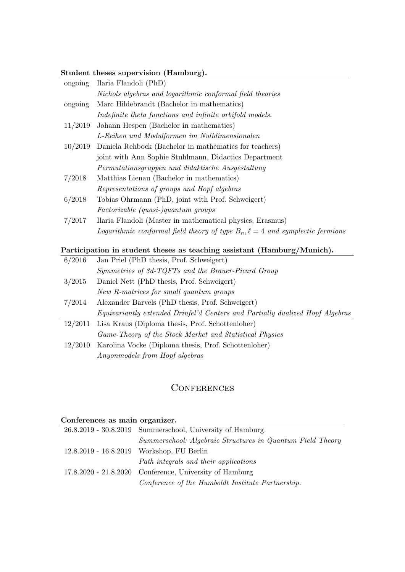#### Student theses supervision (Hamburg).

| ongoing | Ilaria Flandoli (PhD)                                                              |
|---------|------------------------------------------------------------------------------------|
|         | Nichols algebras and logarithmic conformal field theories                          |
| ongoing | Marc Hildebrandt (Bachelor in mathematics)                                         |
|         | Indefinite theta functions and infinite orbifold models.                           |
| 11/2019 | Johann Hespen (Bachelor in mathematics)                                            |
|         | L-Reihen und Modulformen im Nulldimensionalen                                      |
| 10/2019 | Daniela Rehbock (Bachelor in mathematics for teachers)                             |
|         | joint with Ann Sophie Stuhlmann, Didactics Department                              |
|         | Permutationsgruppen und didaktische Ausgestaltung                                  |
| 7/2018  | Matthias Lienau (Bachelor in mathematics)                                          |
|         | Representations of groups and Hopf algebras                                        |
| 6/2018  | Tobias Ohrmann (PhD, joint with Prof. Schweigert)                                  |
|         | Factorizable (quasi-)quantum groups                                                |
| 7/2017  | Ilaria Flandoli (Master in mathematical physics, Erasmus)                          |
|         | Logarithmic conformal field theory of type $B_n, \ell = 4$ and symplectic fermions |
|         |                                                                                    |

### Participation in student theses as teaching assistant (Hamburg/Munich).

| 6/2016  | Jan Priel (PhD thesis, Prof. Schweigert)                                      |
|---------|-------------------------------------------------------------------------------|
|         | Symmetries of 3d-TQFTs and the Brauer-Picard Group                            |
| 3/2015  | Daniel Nett (PhD thesis, Prof. Schweigert)                                    |
|         | New R-matrices for small quantum groups                                       |
| 7/2014  | Alexander Barvels (PhD thesis, Prof. Schweigert)                              |
|         | Equivariantly extended Drinfel'd Centers and Partially dualized Hopf Algebras |
| 12/2011 | Lisa Kraus (Diploma thesis, Prof. Schottenloher)                              |
|         | Game-Theory of the Stock Market and Statistical Physics                       |
|         |                                                                               |
| 12/2010 | Karolina Vocke (Diploma thesis, Prof. Schottenloher)                          |

### **CONFERENCES**

| Conferences as main organizer. |                                                             |  |
|--------------------------------|-------------------------------------------------------------|--|
|                                | $26.8.2019 - 30.8.2019$ Summerschool, University of Hamburg |  |
|                                | Summerschool: Algebraic Structures in Quantum Field Theory  |  |
|                                | 12.8.2019 - 16.8.2019 Workshop, FU Berlin                   |  |
|                                | Path integrals and their applications                       |  |
|                                | $17.8.2020 - 21.8.2020$ Conference, University of Hamburg   |  |
|                                | Conference of the Humboldt Institute Partnership.           |  |